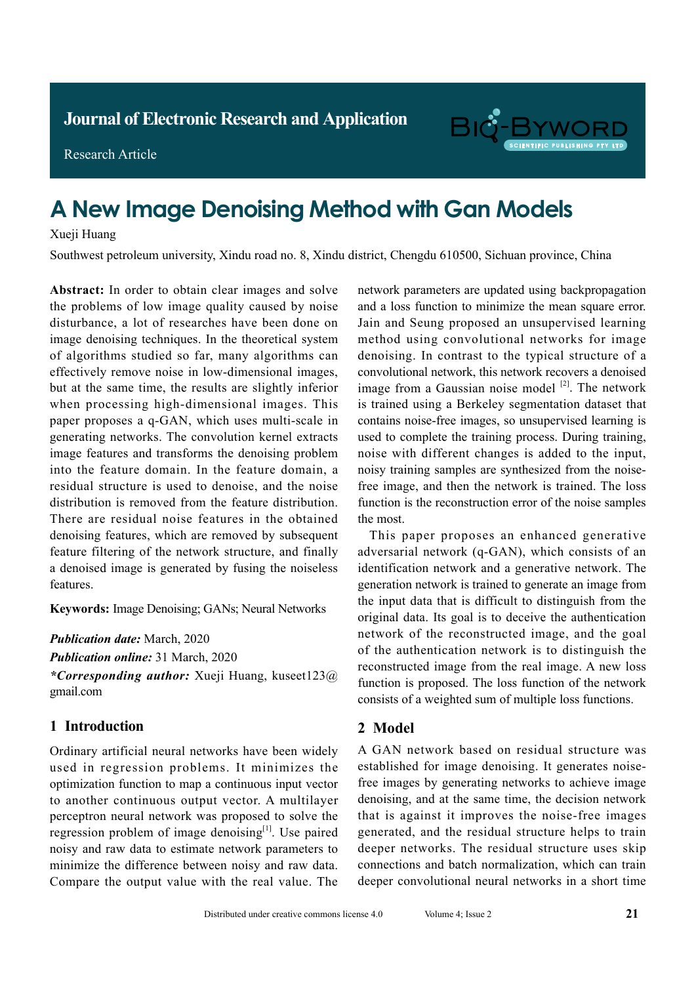

Research Article

# **A New Image Denoising Method with Gan Models**

### Xueji Huang

Southwest petroleum university, Xindu road no. 8, Xindu district, Chengdu 610500, Sichuan province, China

**Abstract:** In order to obtain clear images and solve the problems of low image quality caused by noise disturbance, a lot of researches have been done on image denoising techniques. In the theoretical system of algorithms studied so far, many algorithms can effectively remove noise in low-dimensional images, but at the same time, the results are slightly inferior when processing high-dimensional images. This paper proposes a q-GAN, which uses multi-scale in generating networks. The convolution kernel extracts image features and transforms the denoising problem into the feature domain. In the feature domain, a residual structure is used to denoise, and the noise distribution is removed from the feature distribution. There are residual noise features in the obtained denoising features, which are removed by subsequent feature filtering of the network structure, and finally a denoised image is generated by fusing the noiseless features.

**Keywords:** Image Denoising; GANs; Neural Networks

*Publication date:* March, 2020

*Publication online:* 31 March, 2020

*\*Corresponding author:* Xueji Huang, kuseet123@ gmail.com

# **1 Introduction**

Ordinary artificial neural networks have been widely used in regression problems. It minimizes the optimization function to map a continuous input vector to another continuous output vector. A multilayer perceptron neural network was proposed to solve the regression problem of image denoising $[1]$ . Use paired noisy and raw data to estimate network parameters to minimize the difference between noisy and raw data. Compare the output value with the real value. The

network parameters are updated using backpropagation and a loss function to minimize the mean square error. Jain and Seung proposed an unsupervised learning method using convolutional networks for image denoising. In contrast to the typical structure of a convolutional network, this network recovers a denoised image from a Gaussian noise model  $[2]$ . The network is trained using a Berkeley segmentation dataset that contains noise-free images, so unsupervised learning is used to complete the training process. During training, noise with different changes is added to the input, noisy training samples are synthesized from the noisefree image, and then the network is trained. The loss function is the reconstruction error of the noise samples the most.

This paper proposes an enhanced generative adversarial network (q-GAN), which consists of an identification network and a generative network. The generation network is trained to generate an image from the input data that is difficult to distinguish from the original data. Its goal is to deceive the authentication network of the reconstructed image, and the goal of the authentication network is to distinguish the reconstructed image from the real image. A new loss function is proposed. The loss function of the network consists of a weighted sum of multiple loss functions.

## **2 Model**

A GAN network based on residual structure was established for image denoising. It generates noisefree images by generating networks to achieve image denoising, and at the same time, the decision network that is against it improves the noise-free images generated, and the residual structure helps to train deeper networks. The residual structure uses skip connections and batch normalization, which can train deeper convolutional neural networks in a short time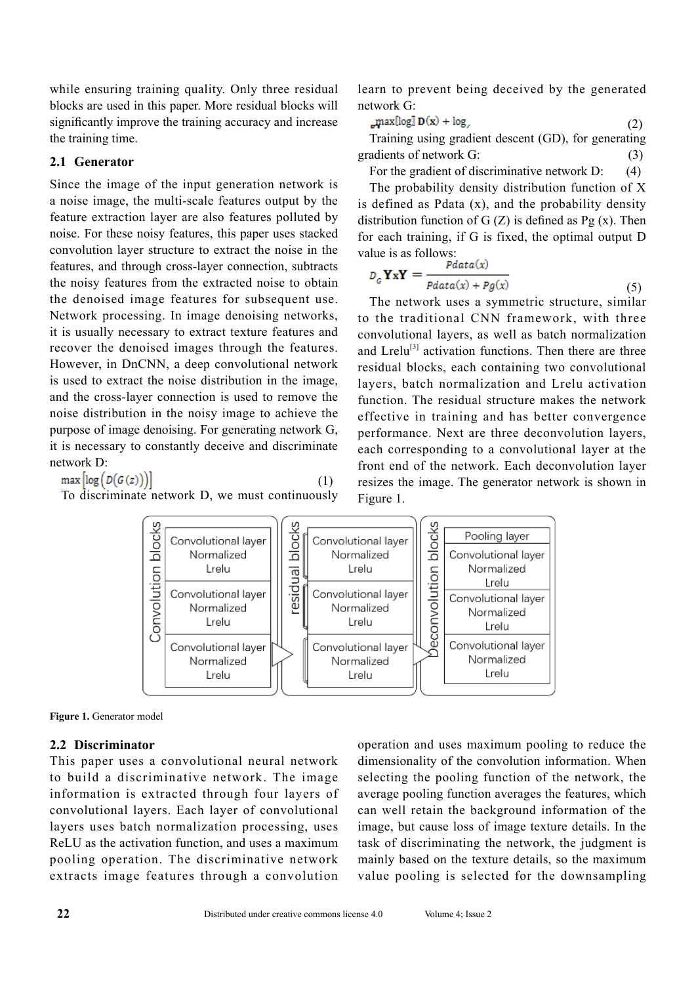while ensuring training quality. Only three residual blocks are used in this paper. More residual blocks will significantly improve the training accuracy and increase the training time.

# **2.1 Generator**

Since the image of the input generation network is a noise image, the multi-scale features output by the feature extraction layer are also features polluted by noise. For these noisy features, this paper uses stacked convolution layer structure to extract the noise in the features, and through cross-layer connection, subtracts the noisy features from the extracted noise to obtain the denoised image features for subsequent use. Network processing. In image denoising networks, it is usually necessary to extract texture features and recover the denoised images through the features. However, in DnCNN, a deep convolutional network is used to extract the noise distribution in the image, and the cross-layer connection is used to remove the noise distribution in the noisy image to achieve the purpose of image denoising. For generating network G, it is necessary to constantly deceive and discriminate network D:

 $max[log(D(G(z)))]$ (1)

To discriminate network D, we must continuously

learn to prevent being deceived by the generated network G:

$$
\mathbf{max}[\log \mathbf{D}(\mathbf{x}) + \log_{e}(2)]
$$
 (2)

Training using gradient descent (GD), for generating gradients of network G: (3)

For the gradient of discriminative network D: (4)

The probability density distribution function of X is defined as Pdata  $(x)$ , and the probability density distribution function of  $G(Z)$  is defined as Pg  $(x)$ . Then for each training, if G is fixed, the optimal output D value is as follows:

$$
D_{G} \mathbf{Y} \mathbf{x} \mathbf{Y} = \frac{Pdata(x)}{Pdata(x) + Pg(x)}
$$
(5)

The network uses a symmetric structure, similar to the traditional CNN framework, with three convolutional layers, as well as batch normalization and  $L$ relu<sup>[3]</sup> activation functions. Then there are three residual blocks, each containing two convolutional layers, batch normalization and Lrelu activation function. The residual structure makes the network effective in training and has better convergence performance. Next are three deconvolution layers, each corresponding to a convolutional layer at the front end of the network. Each deconvolution layer resizes the image. The generator network is shown in Figure 1.





## **2.2 Discriminator**

This paper uses a convolutional neural network to build a discriminative network. The image information is extracted through four layers of convolutional layers. Each layer of convolutional layers uses batch normalization processing, uses ReLU as the activation function, and uses a maximum pooling operation. The discriminative network extracts image features through a convolution

operation and uses maximum pooling to reduce the dimensionality of the convolution information. When selecting the pooling function of the network, the average pooling function averages the features, which can well retain the background information of the image, but cause loss of image texture details. In the task of discriminating the network, the judgment is mainly based on the texture details, so the maximum value pooling is selected for the downsampling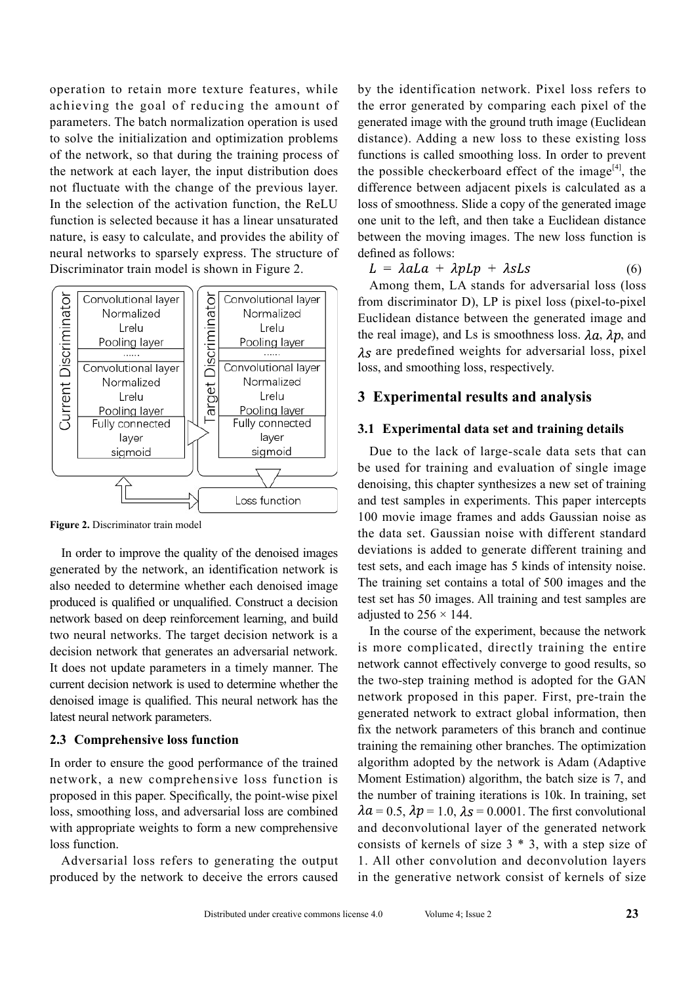operation to retain more texture features, while achieving the goal of reducing the amount of parameters. The batch normalization operation is used to solve the initialization and optimization problems of the network, so that during the training process of the network at each layer, the input distribution does not fluctuate with the change of the previous layer. In the selection of the activation function, the ReLU function is selected because it has a linear unsaturated nature, is easy to calculate, and provides the ability of neural networks to sparsely express. The structure of Discriminator train model is shown in Figure 2.



**Figure 2.** Discriminator train model

In order to improve the quality of the denoised images generated by the network, an identification network is also needed to determine whether each denoised image produced is qualified or unqualified. Construct a decision network based on deep reinforcement learning, and build two neural networks. The target decision network is a decision network that generates an adversarial network. It does not update parameters in a timely manner. The current decision network is used to determine whether the denoised image is qualified. This neural network has the latest neural network parameters.

#### **2.3 Comprehensive loss function**

In order to ensure the good performance of the trained network, a new comprehensive loss function is proposed in this paper. Specifically, the point-wise pixel loss, smoothing loss, and adversarial loss are combined with appropriate weights to form a new comprehensive loss function.

Adversarial loss refers to generating the output produced by the network to deceive the errors caused by the identification network. Pixel loss refers to the error generated by comparing each pixel of the generated image with the ground truth image (Euclidean distance). Adding a new loss to these existing loss functions is called smoothing loss. In order to prevent the possible checkerboard effect of the image<sup>[4]</sup>, the difference between adjacent pixels is calculated as a loss of smoothness. Slide a copy of the generated image one unit to the left, and then take a Euclidean distance between the moving images. The new loss function is defined as follows:

$$
L = \lambda aLa + \lambda pLp + \lambda sLs \qquad (6)
$$

Among them, LA stands for adversarial loss (loss from discriminator D), LP is pixel loss (pixel-to-pixel Euclidean distance between the generated image and the real image), and Ls is smoothness loss.  $\lambda a$ ,  $\lambda p$ , and  $\lambda$ s are predefined weights for adversarial loss, pixel loss, and smoothing loss, respectively.

#### **3 Experimental results and analysis**

#### **3.1 Experimental data set and training details**

Due to the lack of large-scale data sets that can be used for training and evaluation of single image denoising, this chapter synthesizes a new set of training and test samples in experiments. This paper intercepts 100 movie image frames and adds Gaussian noise as the data set. Gaussian noise with different standard deviations is added to generate different training and test sets, and each image has 5 kinds of intensity noise. The training set contains a total of 500 images and the test set has 50 images. All training and test samples are adjusted to  $256 \times 144$ .

In the course of the experiment, because the network is more complicated, directly training the entire network cannot effectively converge to good results, so the two-step training method is adopted for the GAN network proposed in this paper. First, pre-train the generated network to extract global information, then fix the network parameters of this branch and continue training the remaining other branches. The optimization algorithm adopted by the network is Adam (Adaptive Moment Estimation) algorithm, the batch size is 7, and the number of training iterations is 10k. In training, set  $\lambda a = 0.5$ ,  $\lambda p = 1.0$ ,  $\lambda s = 0.0001$ . The first convolutional and deconvolutional layer of the generated network consists of kernels of size 3 \* 3, with a step size of 1. All other convolution and deconvolution layers in the generative network consist of kernels of size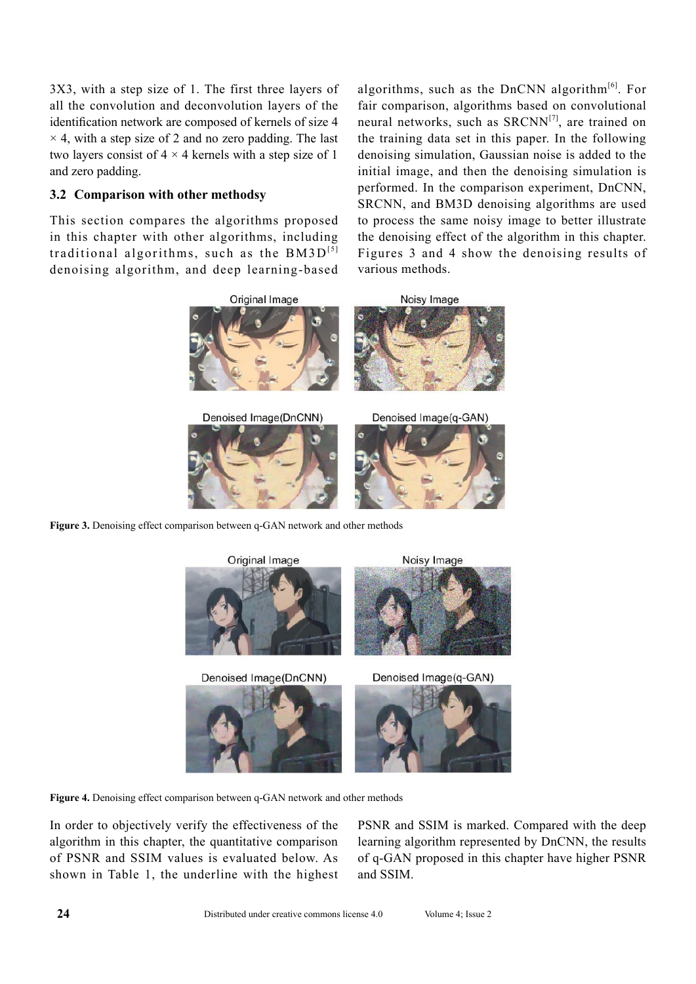3X3, with a step size of 1. The first three layers of all the convolution and deconvolution layers of the identification network are composed of kernels of size 4  $\times$  4, with a step size of 2 and no zero padding. The last two layers consist of  $4 \times 4$  kernels with a step size of 1 and zero padding.

## **3.2 Comparison with other methodsy**

This section compares the algorithms proposed in this chapter with other algorithms, including traditional algorithms, such as the  $BM3D^{[5]}$ denoising algorithm, and deep learning-based

algorithms, such as the DnCNN algorithm $[6]$ . For fair comparison, algorithms based on convolutional neural networks, such as  $SRCNN^{[7]}$ , are trained on the training data set in this paper. In the following denoising simulation, Gaussian noise is added to the initial image, and then the denoising simulation is performed. In the comparison experiment, DnCNN, SRCNN, and BM3D denoising algorithms are used to process the same noisy image to better illustrate the denoising effect of the algorithm in this chapter. Figures 3 and 4 show the denoising results of various methods.



**Figure 3.** Denoising effect comparison between q-GAN network and other methods



**Figure 4.** Denoising effect comparison between q-GAN network and other methods

In order to objectively verify the effectiveness of the algorithm in this chapter, the quantitative comparison of PSNR and SSIM values is evaluated below. As shown in Table 1, the underline with the highest PSNR and SSIM is marked. Compared with the deep learning algorithm represented by DnCNN, the results of q-GAN proposed in this chapter have higher PSNR and SSIM.